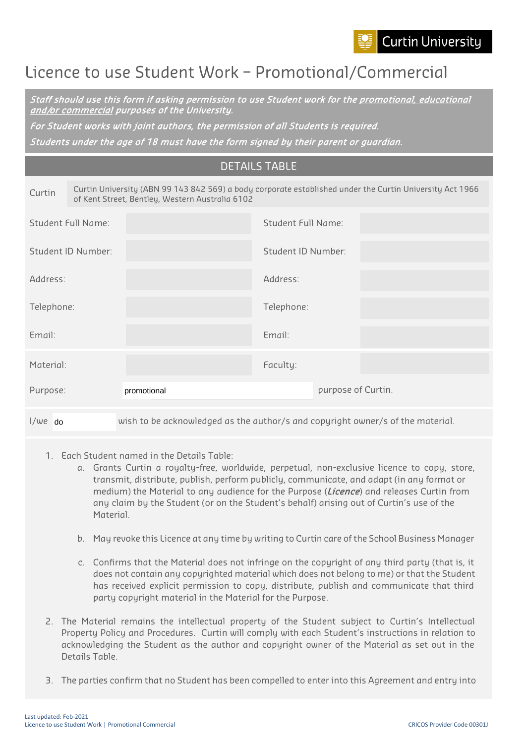

## Licence to use Student Work – Promotional/Commercial

Staff should use this form if asking permission to use Student work for the promotional, educational and/or commercial purposes of the University.

For Student works with joint authors, the permission of all Students is required.

Students under the age of 18 must have the form signed by their parent or guardian.

| <b>DETAILS TABLE</b> |  |
|----------------------|--|
|                      |  |

| Curtin     |                                                                                | Curtin University (ABN 99 143 842 569) a body corporate established under the Curtin University Act 1966<br>of Kent Street, Bentley, Western Australia 6102 |                    |                    |  |
|------------|--------------------------------------------------------------------------------|-------------------------------------------------------------------------------------------------------------------------------------------------------------|--------------------|--------------------|--|
|            | Student Full Name:                                                             |                                                                                                                                                             | Student Full Name: |                    |  |
|            | Student ID Number:                                                             |                                                                                                                                                             | Student ID Number: |                    |  |
| Address:   |                                                                                |                                                                                                                                                             | Address:           |                    |  |
| Telephone: |                                                                                |                                                                                                                                                             | Telephone:         |                    |  |
| Email:     |                                                                                |                                                                                                                                                             | Email:             |                    |  |
| Material:  |                                                                                |                                                                                                                                                             | Faculty:           |                    |  |
| Purpose:   |                                                                                | promotional                                                                                                                                                 |                    | purpose of Curtin. |  |
| $1/we$ do  | wish to be acknowledged as the author/s and copyright owner/s of the material. |                                                                                                                                                             |                    |                    |  |

- 1. Each Student named in the Details Table:
	- a. Grants Curtin a royalty-free, worldwide, perpetual, non-exclusive licence to copy, store, transmit, distribute, publish, perform publicly, communicate, and adapt (in any format or medium) the Material to any audience for the Purpose (*Licence*) and releases Curtin from any claim by the Student (or on the Student's behalf) arising out of Curtin's use of the Material.
	- b. May revoke this Licence at any time by writing to Curtin care of the School Business Manager
	- c. Confirms that the Material does not infringe on the copyright of any third party (that is, it does not contain any copyrighted material which does not belong to me) or that the Student has received explicit permission to copy, distribute, publish and communicate that third party copyright material in the Material for the Purpose.
- 2. The Material remains the intellectual property of the Student subject to Curtin's Intellectual Property Policy and Procedures. Curtin will comply with each Student's instructions in relation to acknowledging the Student as the author and copyright owner of the Material as set out in the Details Table.
- 3. The parties confirm that no Student has been compelled to enter into this Agreement and entry into